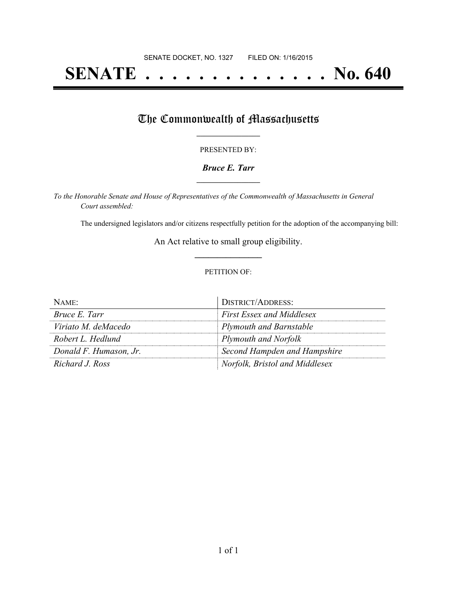# **SENATE . . . . . . . . . . . . . . No. 640**

## The Commonwealth of Massachusetts

#### PRESENTED BY:

#### *Bruce E. Tarr* **\_\_\_\_\_\_\_\_\_\_\_\_\_\_\_\_\_**

*To the Honorable Senate and House of Representatives of the Commonwealth of Massachusetts in General Court assembled:*

The undersigned legislators and/or citizens respectfully petition for the adoption of the accompanying bill:

An Act relative to small group eligibility. **\_\_\_\_\_\_\_\_\_\_\_\_\_\_\_**

#### PETITION OF:

| NAME:                  | <b>DISTRICT/ADDRESS:</b>         |
|------------------------|----------------------------------|
| Bruce E. Tarr          | <b>First Essex and Middlesex</b> |
| Viriato M. deMacedo    | <b>Plymouth and Barnstable</b>   |
| Robert L. Hedlund      | Plymouth and Norfolk             |
| Donald F. Humason, Jr. | Second Hampden and Hampshire     |
| Richard J. Ross        | Norfolk, Bristol and Middlesex   |